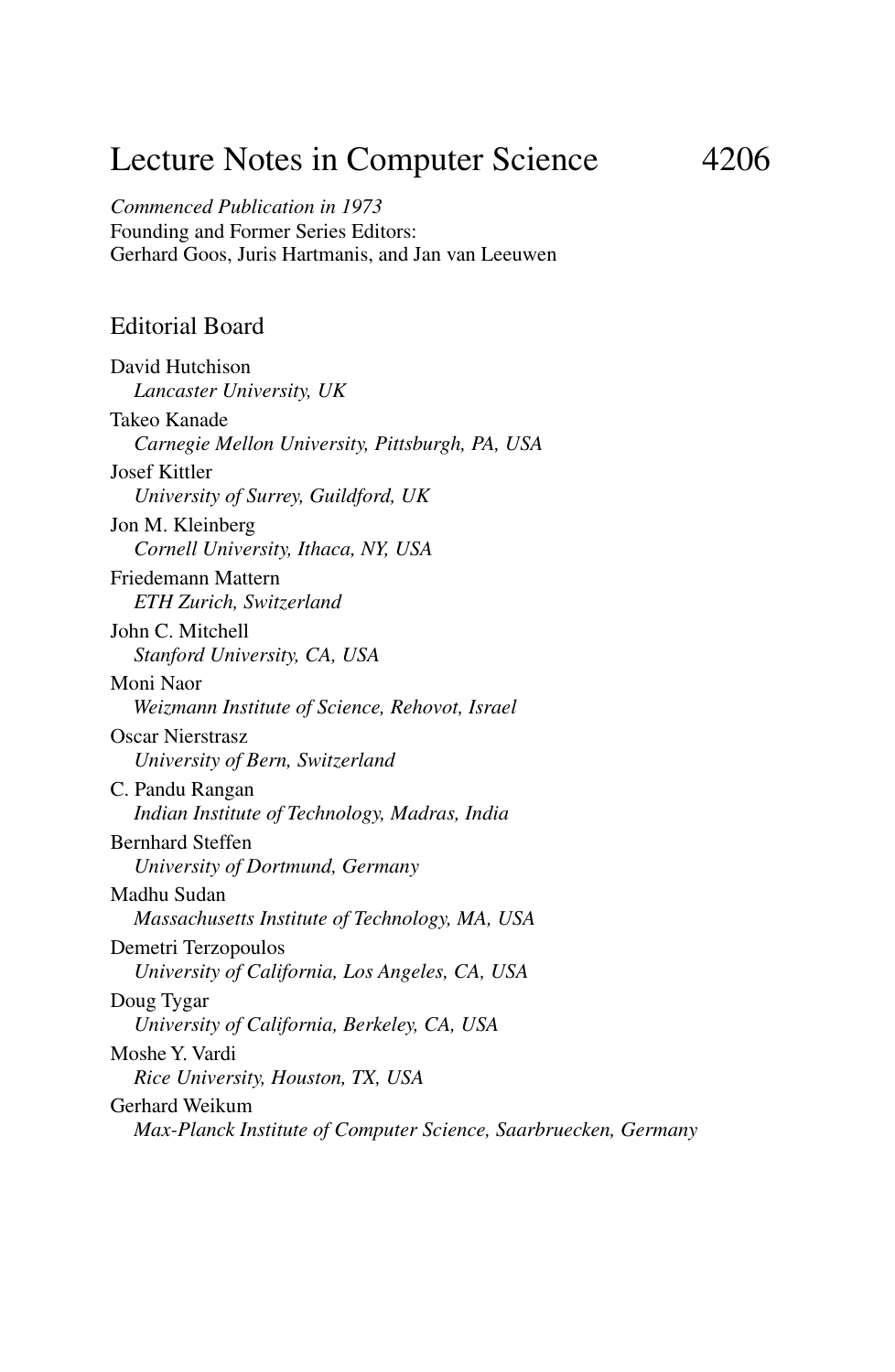## Lecture Notes in Computer Science 4206

*Commenced Publication in 1973* Founding and Former Series Editors: Gerhard Goos, Juris Hartmanis, and Jan van Leeuwen

## Editorial Board

David Hutchison *Lancaster University, UK* Takeo Kanade *Carnegie Mellon University, Pittsburgh, PA, USA* Josef Kittler *University of Surrey, Guildford, UK* Jon M. Kleinberg *Cornell University, Ithaca, NY, USA* Friedemann Mattern *ETH Zurich, Switzerland* John C. Mitchell *Stanford University, CA, USA* Moni Naor *Weizmann Institute of Science, Rehovot, Israel* Oscar Nierstrasz *University of Bern, Switzerland* C. Pandu Rangan *Indian Institute of Technology, Madras, India* Bernhard Steffen *University of Dortmund, Germany* Madhu Sudan *Massachusetts Institute of Technology, MA, USA* Demetri Terzopoulos *University of California, Los Angeles, CA, USA* Doug Tygar *University of California, Berkeley, CA, USA* Moshe Y. Vardi *Rice University, Houston, TX, USA* Gerhard Weikum *Max-Planck Institute of Computer Science, Saarbruecken, Germany*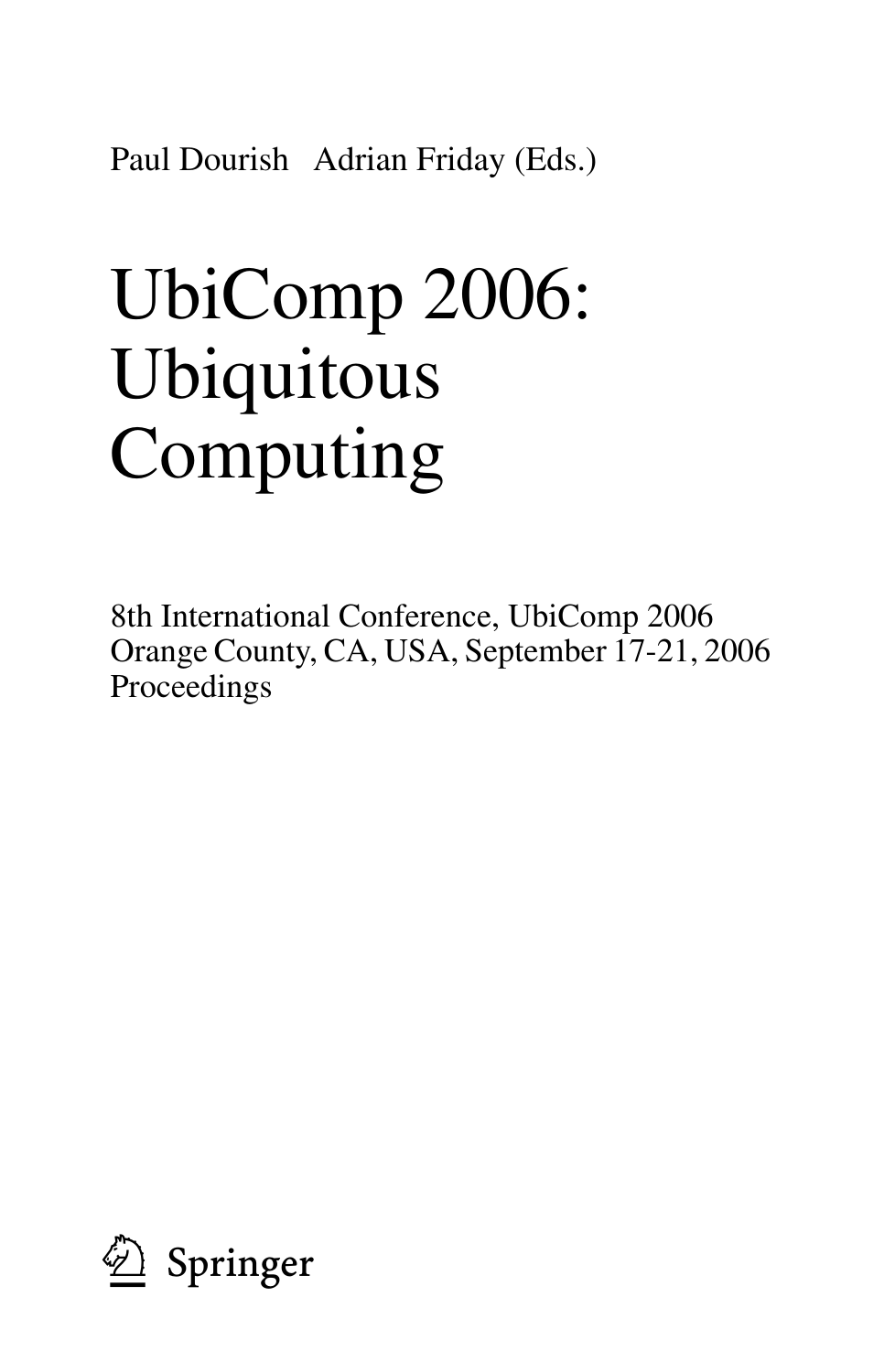Paul Dourish Adrian Friday (Eds.)

# UbiComp 2006: Ubiquitous Computing

8th International Conference, UbiComp 2006 Orange County, CA, USA, September 17-21, 2006 Proceedings

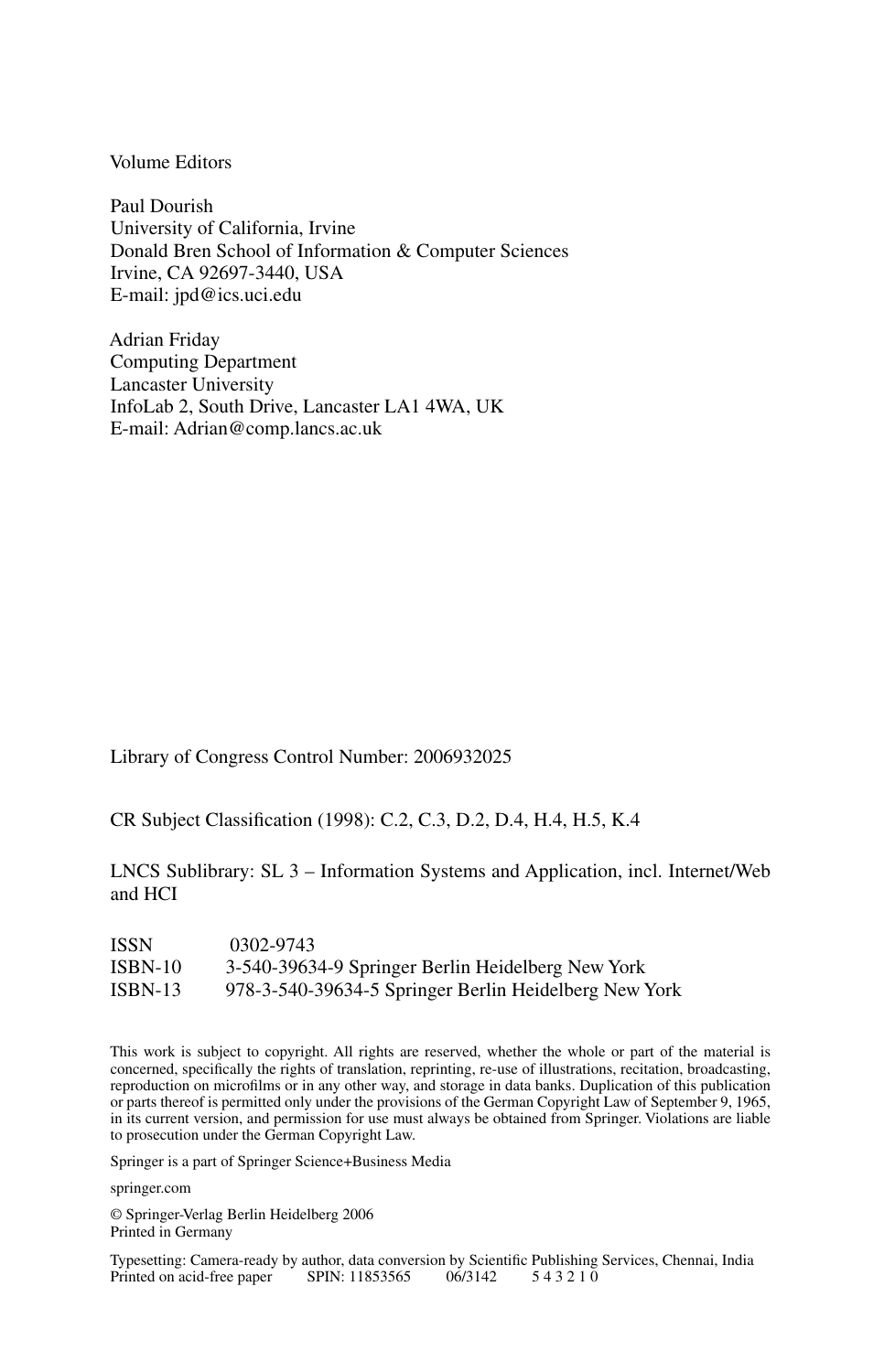Volume Editors

Paul Dourish University of California, Irvine Donald Bren School of Information & Computer Sciences Irvine, CA 92697-3440, USA E-mail: jpd@ics.uci.edu

Adrian Friday Computing Department Lancaster University InfoLab 2, South Drive, Lancaster LA1 4WA, UK E-mail: Adrian@comp.lancs.ac.uk

Library of Congress Control Number: 2006932025

CR Subject Classification (1998): C.2, C.3, D.2, D.4, H.4, H.5, K.4

LNCS Sublibrary: SL 3 – Information Systems and Application, incl. Internet/Web and HCI

| ISSN      | 0302-9743                                             |
|-----------|-------------------------------------------------------|
| $ISBN-10$ | 3-540-39634-9 Springer Berlin Heidelberg New York     |
| $ISBN-13$ | 978-3-540-39634-5 Springer Berlin Heidelberg New York |

This work is subject to copyright. All rights are reserved, whether the whole or part of the material is concerned, specifically the rights of translation, reprinting, re-use of illustrations, recitation, broadcasting, reproduction on microfilms or in any other way, and storage in data banks. Duplication of this publication or parts thereof is permitted only under the provisions of the German Copyright Law of September 9, 1965, in its current version, and permission for use must always be obtained from Springer. Violations are liable to prosecution under the German Copyright Law.

Springer is a part of Springer Science+Business Media

springer.com

© Springer-Verlag Berlin Heidelberg 2006 Printed in Germany

Typesetting: Camera-ready by author, data conversion by Scientific Publishing Services, Chennai, India  $Printed$  on acid-free paper SPIN: 11853565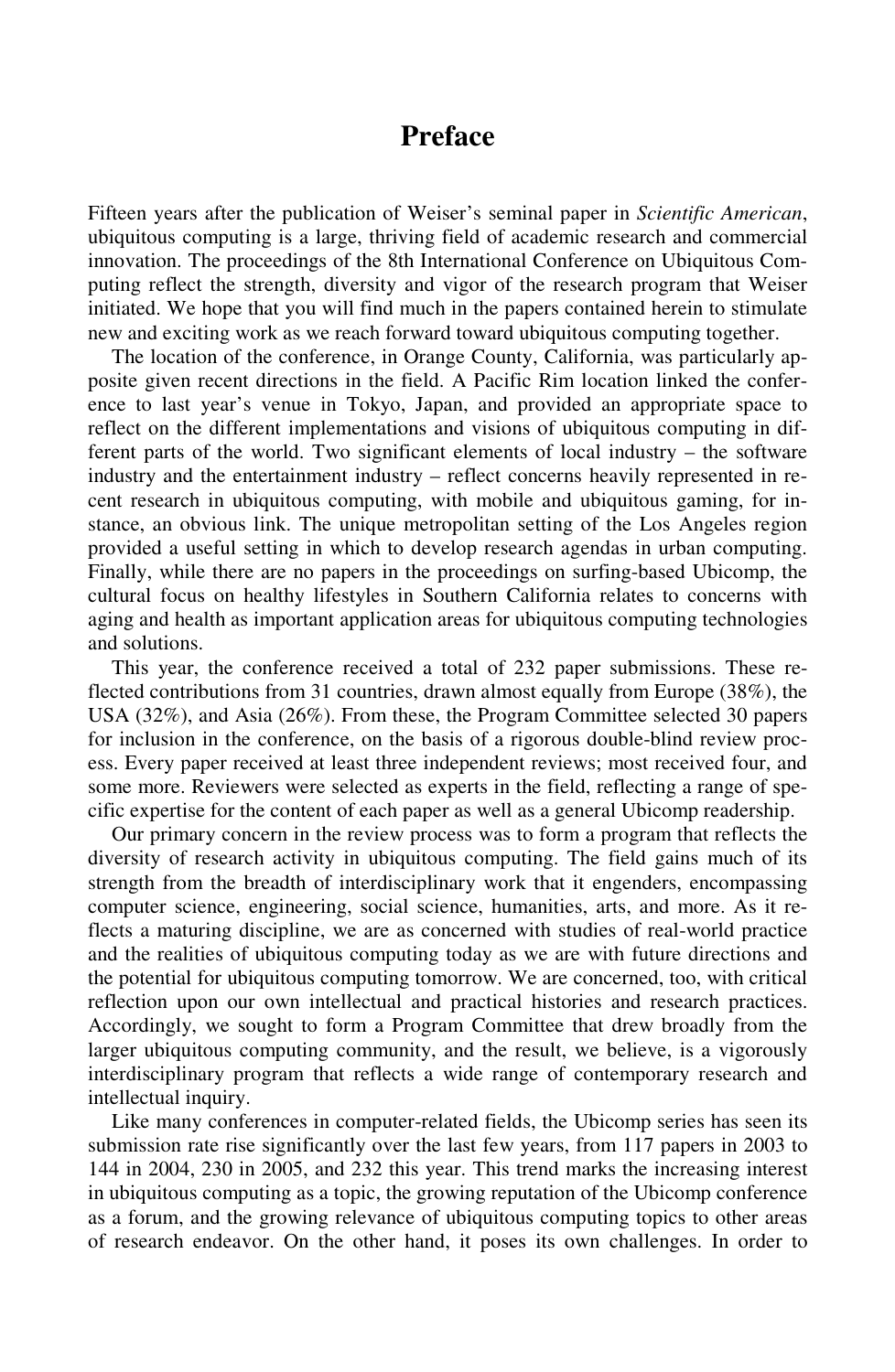## **Preface**

Fifteen years after the publication of Weiser's seminal paper in *Scientific American*, ubiquitous computing is a large, thriving field of academic research and commercial innovation. The proceedings of the 8th International Conference on Ubiquitous Computing reflect the strength, diversity and vigor of the research program that Weiser initiated. We hope that you will find much in the papers contained herein to stimulate new and exciting work as we reach forward toward ubiquitous computing together.

The location of the conference, in Orange County, California, was particularly apposite given recent directions in the field. A Pacific Rim location linked the conference to last year's venue in Tokyo, Japan, and provided an appropriate space to reflect on the different implementations and visions of ubiquitous computing in different parts of the world. Two significant elements of local industry – the software industry and the entertainment industry – reflect concerns heavily represented in recent research in ubiquitous computing, with mobile and ubiquitous gaming, for instance, an obvious link. The unique metropolitan setting of the Los Angeles region provided a useful setting in which to develop research agendas in urban computing. Finally, while there are no papers in the proceedings on surfing-based Ubicomp, the cultural focus on healthy lifestyles in Southern California relates to concerns with aging and health as important application areas for ubiquitous computing technologies and solutions.

This year, the conference received a total of 232 paper submissions. These reflected contributions from 31 countries, drawn almost equally from Europe (38%), the USA (32%), and Asia (26%). From these, the Program Committee selected 30 papers for inclusion in the conference, on the basis of a rigorous double-blind review process. Every paper received at least three independent reviews; most received four, and some more. Reviewers were selected as experts in the field, reflecting a range of specific expertise for the content of each paper as well as a general Ubicomp readership.

Our primary concern in the review process was to form a program that reflects the diversity of research activity in ubiquitous computing. The field gains much of its strength from the breadth of interdisciplinary work that it engenders, encompassing computer science, engineering, social science, humanities, arts, and more. As it reflects a maturing discipline, we are as concerned with studies of real-world practice and the realities of ubiquitous computing today as we are with future directions and the potential for ubiquitous computing tomorrow. We are concerned, too, with critical reflection upon our own intellectual and practical histories and research practices. Accordingly, we sought to form a Program Committee that drew broadly from the larger ubiquitous computing community, and the result, we believe, is a vigorously interdisciplinary program that reflects a wide range of contemporary research and intellectual inquiry.

Like many conferences in computer-related fields, the Ubicomp series has seen its submission rate rise significantly over the last few years, from 117 papers in 2003 to 144 in 2004, 230 in 2005, and 232 this year. This trend marks the increasing interest in ubiquitous computing as a topic, the growing reputation of the Ubicomp conference as a forum, and the growing relevance of ubiquitous computing topics to other areas of research endeavor. On the other hand, it poses its own challenges. In order to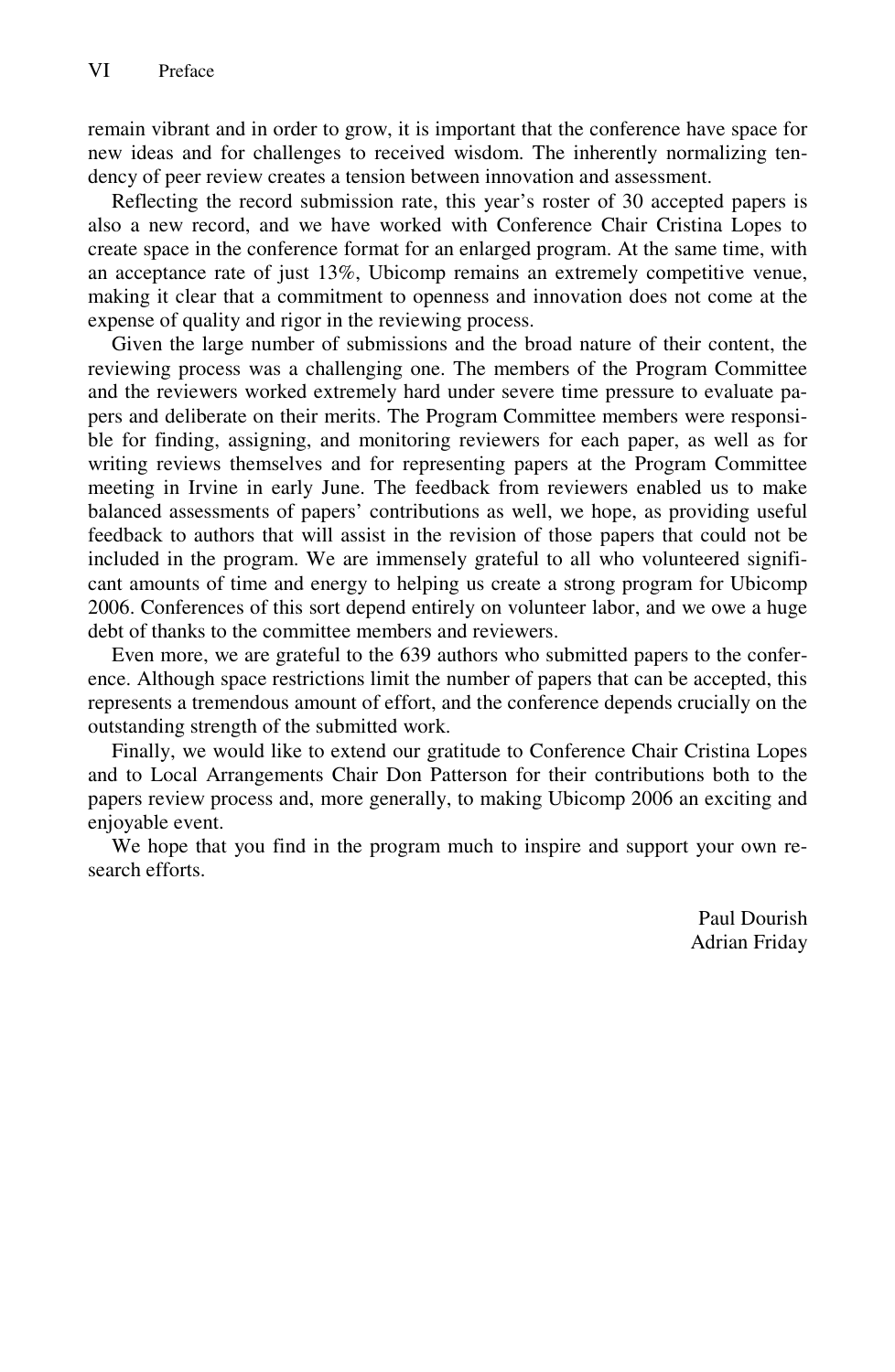remain vibrant and in order to grow, it is important that the conference have space for new ideas and for challenges to received wisdom. The inherently normalizing tendency of peer review creates a tension between innovation and assessment.

Reflecting the record submission rate, this year's roster of 30 accepted papers is also a new record, and we have worked with Conference Chair Cristina Lopes to create space in the conference format for an enlarged program. At the same time, with an acceptance rate of just 13%, Ubicomp remains an extremely competitive venue, making it clear that a commitment to openness and innovation does not come at the expense of quality and rigor in the reviewing process.

Given the large number of submissions and the broad nature of their content, the reviewing process was a challenging one. The members of the Program Committee and the reviewers worked extremely hard under severe time pressure to evaluate papers and deliberate on their merits. The Program Committee members were responsible for finding, assigning, and monitoring reviewers for each paper, as well as for writing reviews themselves and for representing papers at the Program Committee meeting in Irvine in early June. The feedback from reviewers enabled us to make balanced assessments of papers' contributions as well, we hope, as providing useful feedback to authors that will assist in the revision of those papers that could not be included in the program. We are immensely grateful to all who volunteered significant amounts of time and energy to helping us create a strong program for Ubicomp 2006. Conferences of this sort depend entirely on volunteer labor, and we owe a huge debt of thanks to the committee members and reviewers.

Even more, we are grateful to the 639 authors who submitted papers to the conference. Although space restrictions limit the number of papers that can be accepted, this represents a tremendous amount of effort, and the conference depends crucially on the outstanding strength of the submitted work.

Finally, we would like to extend our gratitude to Conference Chair Cristina Lopes and to Local Arrangements Chair Don Patterson for their contributions both to the papers review process and, more generally, to making Ubicomp 2006 an exciting and enjoyable event.

We hope that you find in the program much to inspire and support your own research efforts.

> Paul Dourish Adrian Friday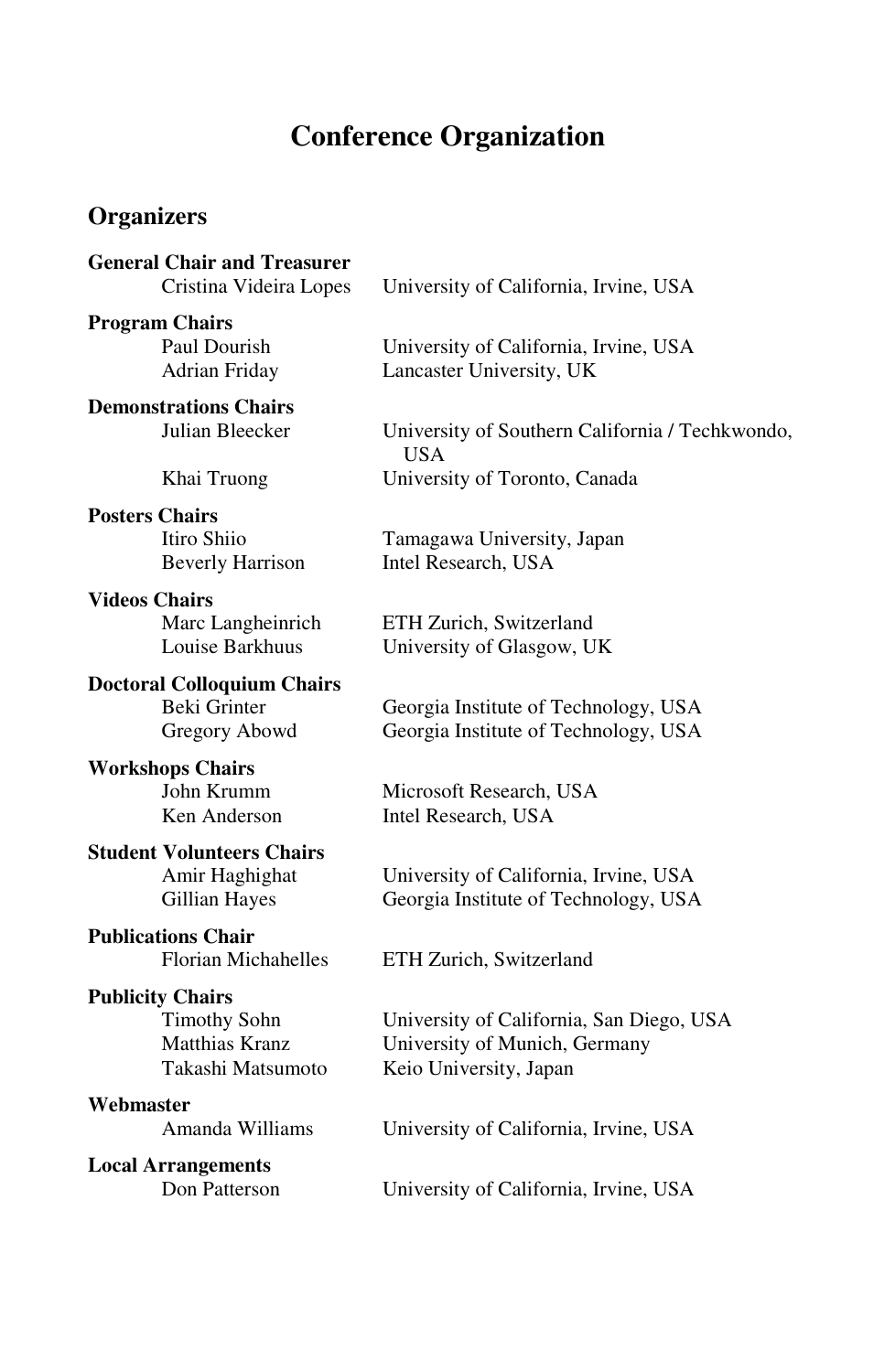## **Conference Organization**

## **Organizers**

**General Chair and Treasurer** 

**Program Chairs** 

**Demonstrations Chairs** 

## **Posters Chairs**

**Videos Chairs** 

**Doctoral Colloquium Chairs** 

## **Workshops Chairs**

**Student Volunteers Chairs** 

**Publications Chair** 

### **Publicity Chairs**

**Webmaster** 

## **Local Arrangements**

Cristina Videira Lopes University of California, Irvine, USA

Paul Dourish University of California, Irvine, USA Adrian Friday Lancaster University, UK

Julian Bleecker University of Southern California / Techkwondo, USA Khai Truong University of Toronto, Canada

Itiro Shiio Tamagawa University, Japan Beverly Harrison Intel Research, USA

ETH Zurich, Switzerland Louise Barkhuus University of Glasgow, UK

Beki Grinter Georgia Institute of Technology, USA Gregory Abowd Georgia Institute of Technology, USA

John Krumm Microsoft Research, USA<br>
Ken Anderson Intel Research USA Intel Research, USA

Amir Haghighat University of California, Irvine, USA Gillian HayesGeorgia Institute of Technology, USA

ETH Zurich, Switzerland

Timothy Sohn University of California, San Diego, USA Matthias Kranz University of Munich, Germany Takashi Matsumoto Keio University, Japan

University of California, Irvine, USA

Don Patterson University of California, Irvine, USA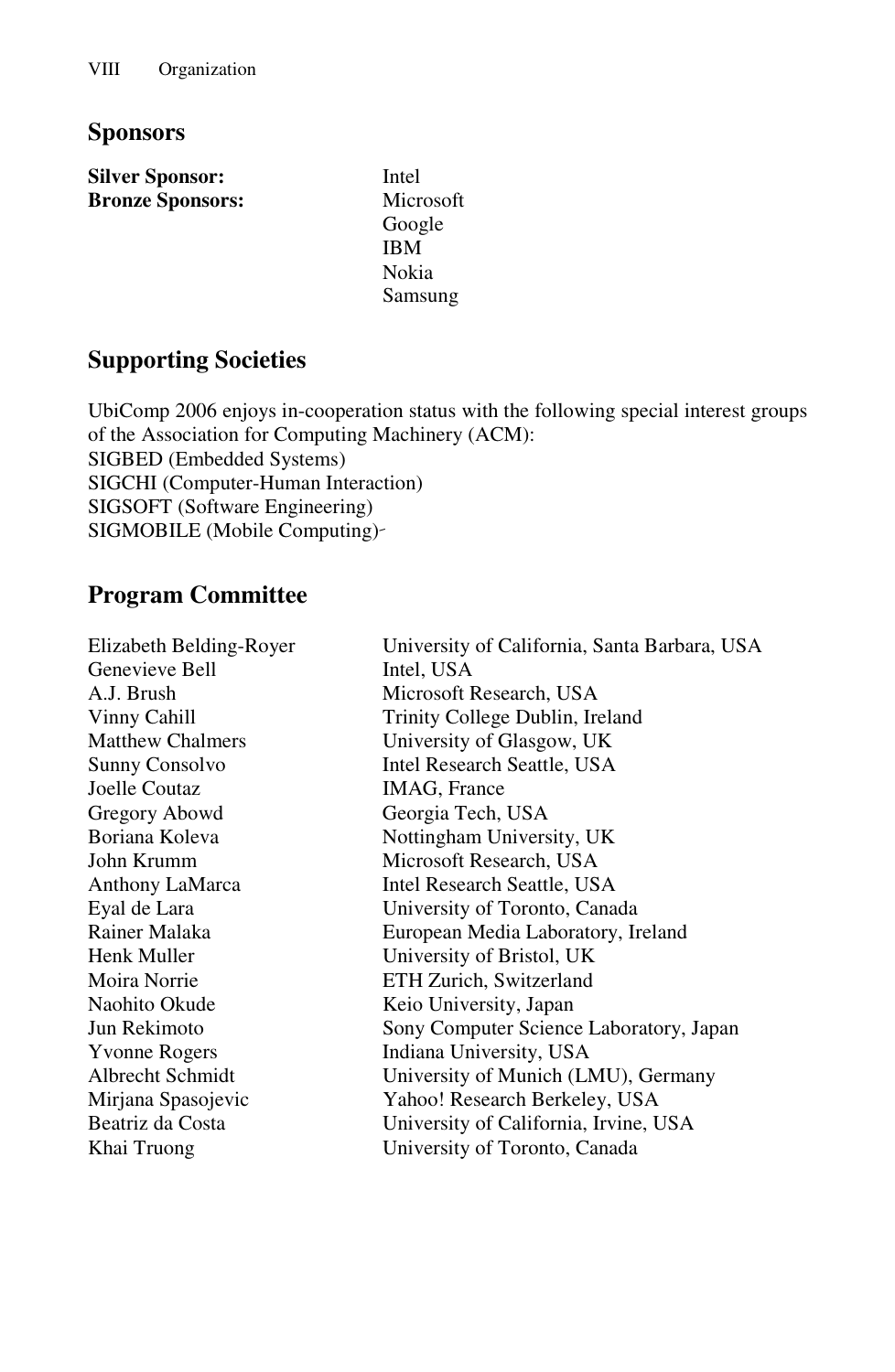## **Sponsors**

| <b>Silver Sponsor:</b>  | Intel      |
|-------------------------|------------|
| <b>Bronze Sponsors:</b> | Microsoft  |
|                         | Google     |
|                         | <b>IBM</b> |
|                         | Nokia      |
|                         | Samsung    |

## **Supporting Societies**

UbiComp 2006 enjoys in-cooperation status with the following special interest groups of the Association for Computing Machinery (ACM): SIGBED (Embedded Systems) SIGCHI (Computer-Human Interaction) SIGSOFT (Software Engineering) SIGMOBILE (Mobile Computing)**-**

## **Program Committee**

Genevieve Bell Intel, USA Joelle Coutaz **IMAG**, France Gregory Abowd Georgia Tech, USA Naohito Okude Keio University, Japan

Elizabeth Belding-Royer University of California, Santa Barbara, USA A.J. Brush Microsoft Research, USA Vinny Cahill Trinity College Dublin, Ireland Matthew Chalmers University of Glasgow, UK Sunny Consolvo Intel Research Seattle, USA Boriana Koleva Nottingham University, UK John Krumm Microsoft Research, USA Anthony LaMarca Intel Research Seattle, USA Eyal de Lara University of Toronto, Canada Rainer Malaka European Media Laboratory, Ireland Henk Muller University of Bristol, UK Moira Norrie ETH Zurich, Switzerland Jun Rekimoto Sony Computer Science Laboratory, Japan Yvonne Rogers Indiana University, USA Albrecht Schmidt University of Munich (LMU), Germany Mirjana Spasojevic Yahoo! Research Berkeley, USA Beatriz da Costa University of California, Irvine, USA Khai Truong University of Toronto, Canada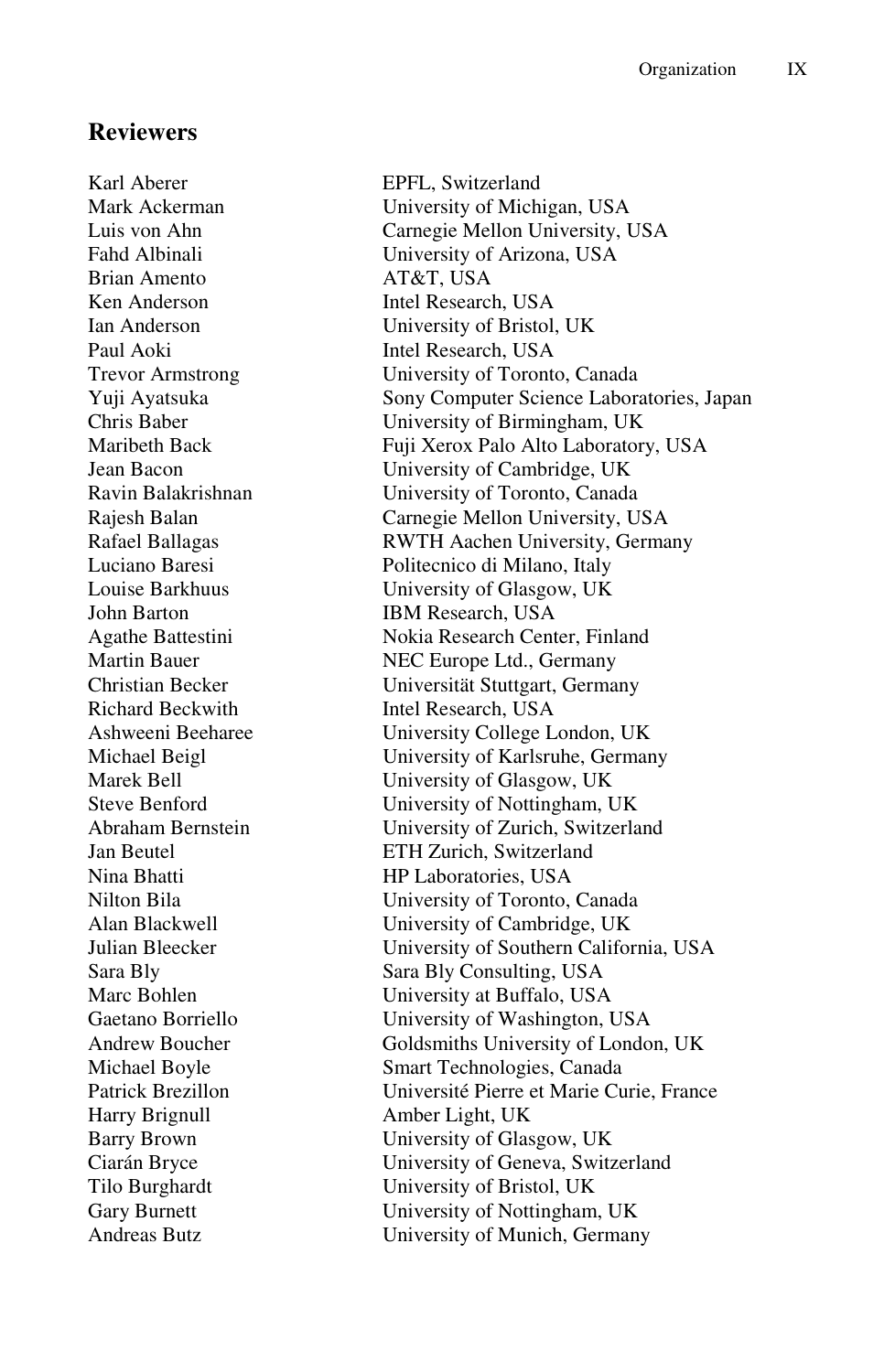## **Reviewers**

Karl Aberer EPFL, Switzerland Brian Amento AT&T, USA Ken Anderson Intel Research, USA Paul Aoki Intel Research, USA John Barton **IBM Research, USA** Richard Beckwith Intel Research, USA Harry Brignull Amber Light, UK

Mark Ackerman University of Michigan, USA Luis von Ahn Carnegie Mellon University, USA Fahd Albinali University of Arizona, USA Ian Anderson University of Bristol, UK Trevor Armstrong University of Toronto, Canada Yuji Ayatsuka Sony Computer Science Laboratories, Japan Chris Baber University of Birmingham, UK Maribeth Back Fuji Xerox Palo Alto Laboratory, USA Jean Bacon University of Cambridge, UK Ravin Balakrishnan University of Toronto, Canada Rajesh Balan Carnegie Mellon University, USA Rafael Ballagas RWTH Aachen University, Germany Luciano Baresi Politecnico di Milano, Italy Louise Barkhuus University of Glasgow, UK Agathe Battestini Nokia Research Center, Finland Martin Bauer NEC Europe Ltd., Germany Christian Becker Universität Stuttgart, Germany Ashweeni Beeharee University College London, UK Michael Beigl University of Karlsruhe, Germany Marek Bell University of Glasgow, UK Steve Benford University of Nottingham, UK Abraham Bernstein University of Zurich, Switzerland Jan Beutel ETH Zurich, Switzerland Nina Bhatti **HP Laboratories**, USA Nilton Bila University of Toronto, Canada Alan Blackwell University of Cambridge, UK Julian Bleecker University of Southern California, USA Sara Bly Sara Bly Consulting, USA Marc Bohlen University at Buffalo, USA Gaetano Borriello University of Washington, USA Andrew Boucher Goldsmiths University of London, UK Michael Boyle Smart Technologies, Canada Patrick Brezillon Université Pierre et Marie Curie, France Barry Brown University of Glasgow, UK Ciarán Bryce University of Geneva, Switzerland Tilo Burghardt University of Bristol, UK Gary Burnett University of Nottingham, UK Andreas Butz University of Munich, Germany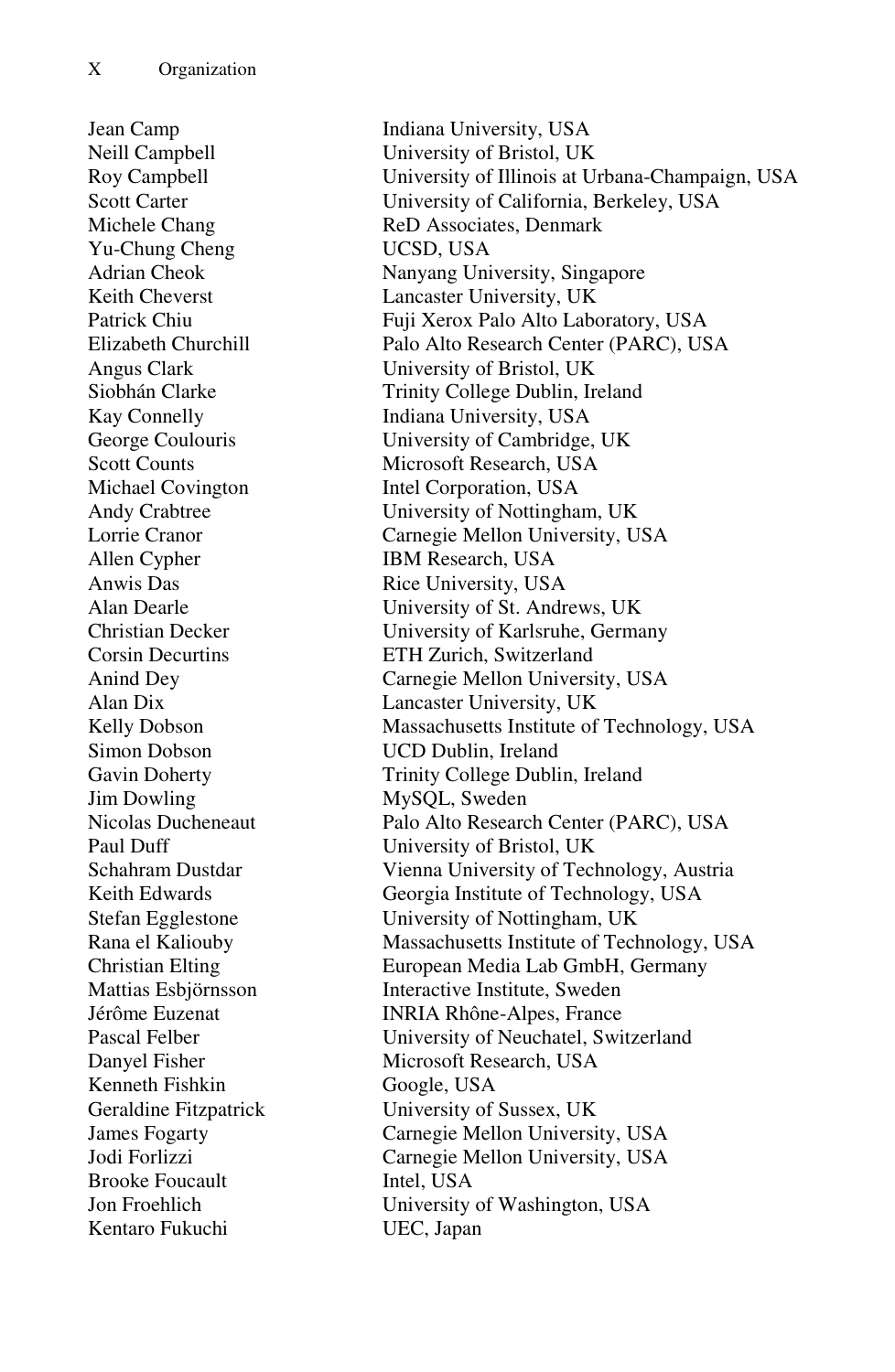Yu-Chung Cheng UCSD, USA Allen Cypher **IBM Research**, USA Anwis Das Rice University, USA Simon Dobson UCD Dublin, Ireland Jim Dowling MySQL, Sweden Kenneth Fishkin Google, USA Brooke Foucault Intel, USA Kentaro Fukuchi UEC, Japan

Jean Camp Indiana University, USA Neill Campbell University of Bristol, UK Roy Campbell University of Illinois at Urbana-Champaign, USA Scott Carter University of California, Berkeley, USA Michele Chang ReD Associates, Denmark Adrian Cheok Nanyang University, Singapore Keith Cheverst Lancaster University, UK Patrick Chiu Fuji Xerox Palo Alto Laboratory, USA Elizabeth Churchill Palo Alto Research Center (PARC), USA Angus Clark University of Bristol, UK Siobhán Clarke Trinity College Dublin, Ireland Kay Connelly Indiana University, USA George Coulouris University of Cambridge, UK Scott Counts Microsoft Research, USA Michael Covington Intel Corporation, USA Andy Crabtree University of Nottingham, UK Lorrie Cranor Carnegie Mellon University, USA Alan Dearle University of St. Andrews, UK Christian Decker University of Karlsruhe, Germany Corsin Decurtins ETH Zurich, Switzerland Anind Dey Carnegie Mellon University, USA Alan Dix Lancaster University, UK Kelly Dobson Massachusetts Institute of Technology, USA Gavin Doherty Trinity College Dublin, Ireland Nicolas Ducheneaut Palo Alto Research Center (PARC), USA Paul Duff University of Bristol, UK Schahram Dustdar Vienna University of Technology, Austria Keith Edwards Georgia Institute of Technology, USA Stefan Egglestone University of Nottingham, UK Rana el Kaliouby Massachusetts Institute of Technology, USA Christian Elting European Media Lab GmbH, Germany Mattias Esbjörnsson Interactive Institute, Sweden Jérôme Euzenat INRIA Rhône-Alpes, France Pascal Felber University of Neuchatel, Switzerland Danyel Fisher Microsoft Research, USA Geraldine Fitzpatrick University of Sussex, UK James Fogarty Carnegie Mellon University, USA Jodi Forlizzi Carnegie Mellon University, USA Jon Froehlich University of Washington, USA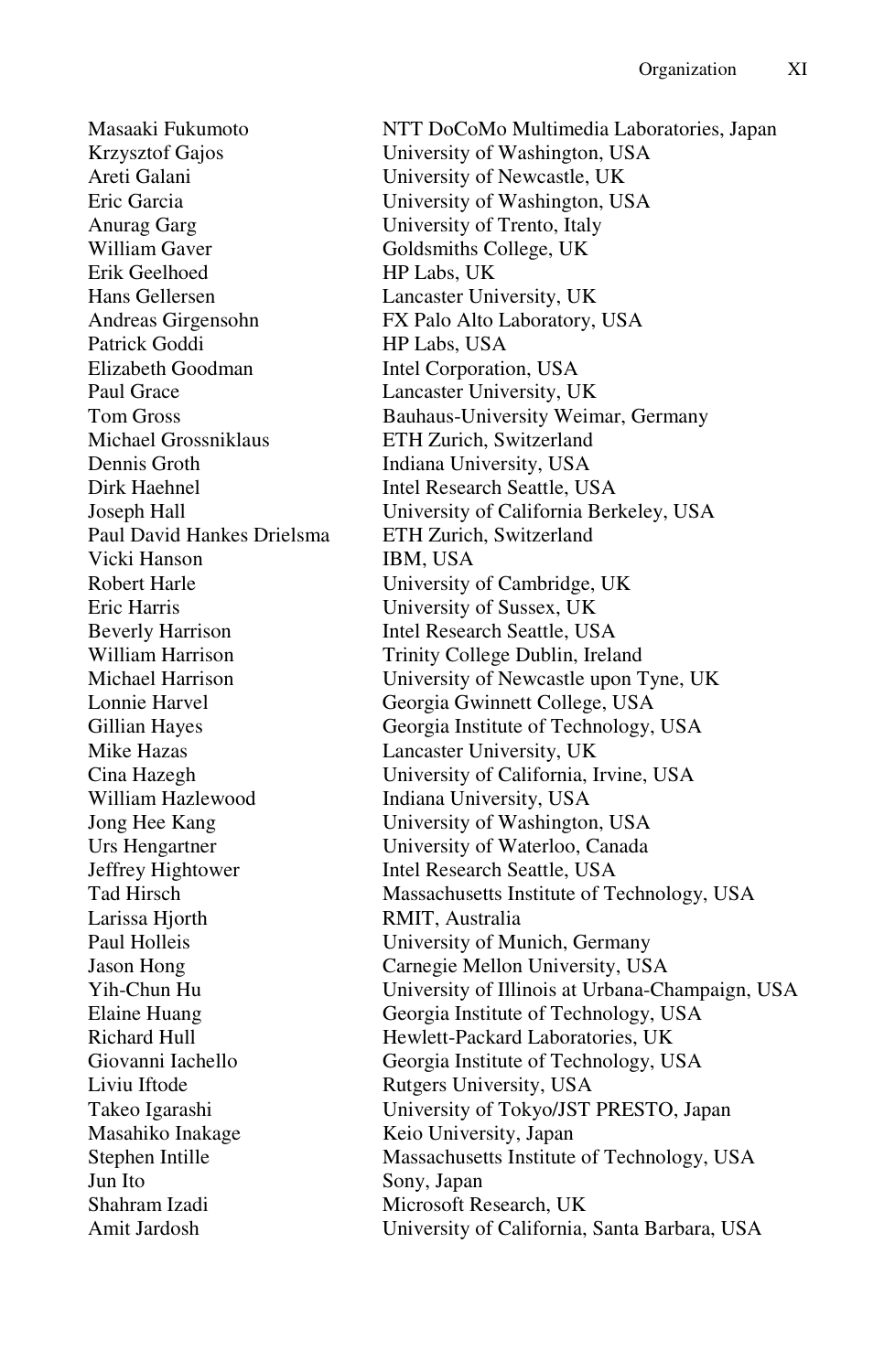William Gaver Goldsmiths College, UK Erik Geelhoed HP Labs, UK Patrick Goddi HP Labs, USA Elizabeth Goodman Intel Corporation, USA Dennis Groth Indiana University, USA Vicki Hanson **IBM, USA** Larissa Hjorth RMIT, Australia Masahiko Inakage Keio University, Japan Jun Ito Sony, Japan Shahram Izadi Microsoft Research, UK

Masaaki Fukumoto NTT DoCoMo Multimedia Laboratories, Japan Krzysztof Gajos University of Washington, USA Areti Galani University of Newcastle, UK Eric Garcia University of Washington, USA Anurag Garg University of Trento, Italy Hans Gellersen Lancaster University, UK Andreas Girgensohn FX Palo Alto Laboratory, USA Paul Grace Lancaster University, UK Tom Gross Bauhaus-University Weimar, Germany Michael Grossniklaus ETH Zurich, Switzerland Dirk Haehnel **Intel Research Seattle, USA** Joseph Hall University of California Berkeley, USA Paul David Hankes Drielsma ETH Zurich, Switzerland Robert Harle University of Cambridge, UK Eric Harris University of Sussex, UK Beverly Harrison Intel Research Seattle, USA William Harrison Trinity College Dublin, Ireland Michael Harrison University of Newcastle upon Tyne, UK Lonnie Harvel Georgia Gwinnett College, USA Gillian Hayes Georgia Institute of Technology, USA Mike Hazas **Lancaster University**, UK Cina Hazegh University of California, Irvine, USA William Hazlewood Indiana University, USA Jong Hee Kang University of Washington, USA Urs Hengartner University of Waterloo, Canada Jeffrey Hightower Intel Research Seattle, USA Tad Hirsch Massachusetts Institute of Technology, USA Paul Holleis University of Munich, Germany Jason Hong Carnegie Mellon University, USA Yih-Chun Hu University of Illinois at Urbana-Champaign, USA Elaine Huang Georgia Institute of Technology, USA Richard Hull Hewlett-Packard Laboratories, UK Giovanni Iachello Georgia Institute of Technology, USA Liviu Iftode Rutgers University, USA Takeo Igarashi University of Tokyo/JST PRESTO, Japan Stephen Intille Massachusetts Institute of Technology, USA Amit Jardosh University of California, Santa Barbara, USA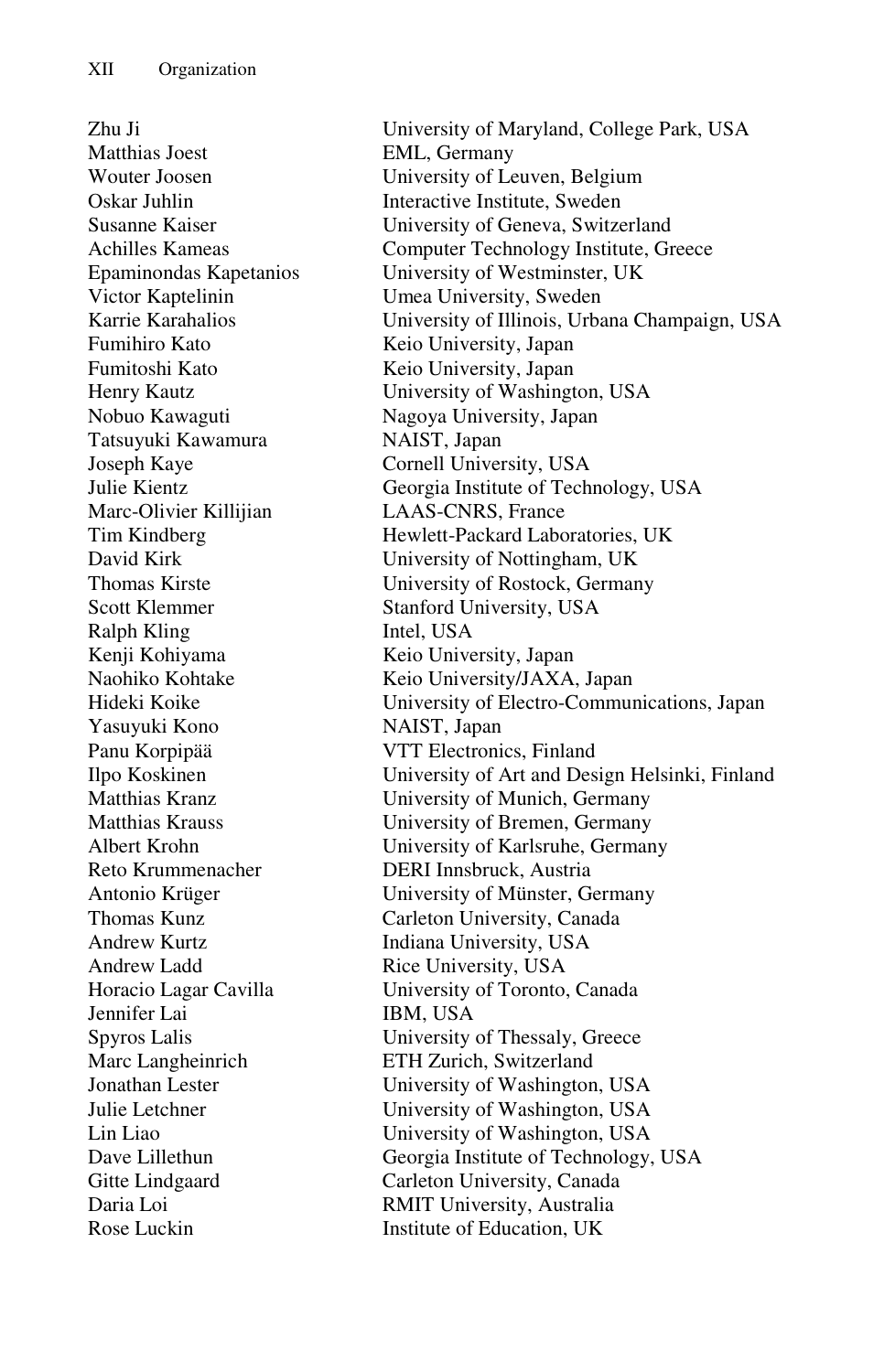Matthias Joest EML, Germany Fumihiro Kato Keio University, Japan Fumitoshi Kato Keio University, Japan Tatsuyuki Kawamura NAIST, Japan Joseph Kaye Cornell University, USA Marc-Olivier Killijian LAAS-CNRS, France Ralph Kling Intel, USA Kenji Kohiyama Keio University, Japan Yasuyuki Kono NAIST, Japan Panu Korpipää VTT Electronics, Finland Reto Krummenacher DERI Innsbruck, Austria Andrew Kurtz Indiana University, USA Andrew Ladd Rice University, USA Jennifer Lai IBM, USA Marc Langheinrich ETH Zurich, Switzerland

Zhu Ji University of Maryland, College Park, USA Wouter Joosen University of Leuven, Belgium Oskar Juhlin Interactive Institute, Sweden Susanne Kaiser University of Geneva, Switzerland Achilles Kameas Computer Technology Institute, Greece Epaminondas Kapetanios University of Westminster, UK Victor Kaptelinin Umea University, Sweden Karrie Karahalios University of Illinois, Urbana Champaign, USA Henry Kautz University of Washington, USA Nobuo Kawaguti Nagoya University, Japan Julie Kientz Georgia Institute of Technology, USA Tim Kindberg Hewlett-Packard Laboratories, UK David Kirk University of Nottingham, UK Thomas Kirste University of Rostock, Germany Scott Klemmer Stanford University, USA Naohiko Kohtake Keio University/JAXA, Japan Hideki Koike University of Electro-Communications, Japan Ilpo Koskinen University of Art and Design Helsinki, Finland Matthias Kranz University of Munich, Germany Matthias Krauss University of Bremen, Germany Albert Krohn University of Karlsruhe, Germany Antonio Krüger University of Münster, Germany Thomas Kunz Carleton University, Canada Horacio Lagar Cavilla University of Toronto, Canada Spyros Lalis University of Thessaly, Greece Jonathan Lester University of Washington, USA Julie Letchner University of Washington, USA Lin Liao University of Washington, USA Dave Lillethun Georgia Institute of Technology, USA Gitte Lindgaard Carleton University, Canada Daria Loi RMIT University, Australia Rose Luckin Institute of Education, UK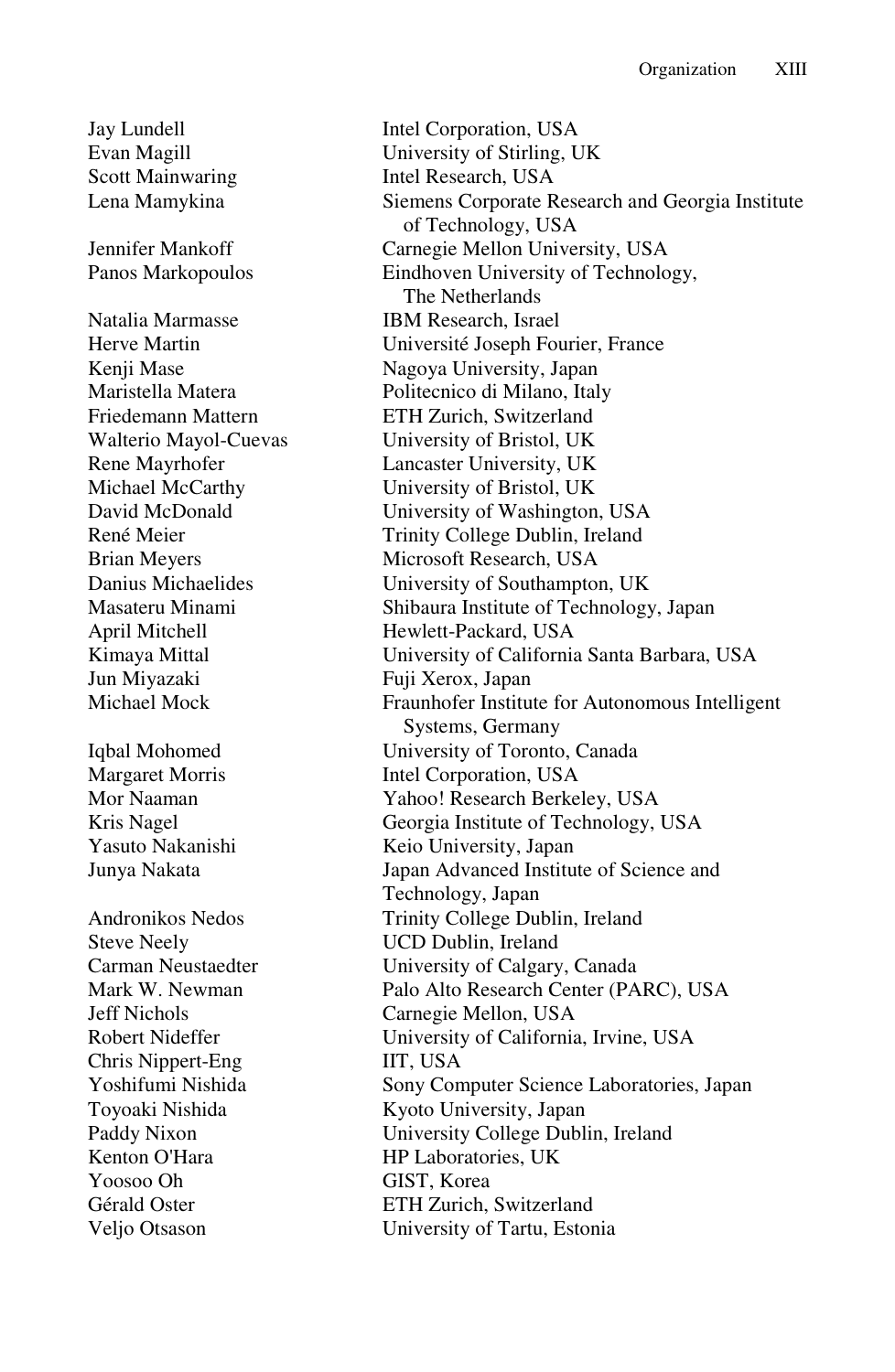Scott Mainwaring Intel Research, USA Jun Miyazaki Fuji Xerox, Japan Chris Nippert-Eng IIT, USA Yoosoo Oh GIST, Korea

Jay Lundell Intel Corporation, USA Evan Magill University of Stirling, UK Lena Mamykina Siemens Corporate Research and Georgia Institute of Technology, USA Jennifer Mankoff Carnegie Mellon University, USA Panos Markopoulos Eindhoven University of Technology, The Netherlands Natalia Marmasse IBM Research, Israel Herve Martin Université Joseph Fourier, France Kenji Mase Nagoya University, Japan Maristella Matera Politecnico di Milano, Italy Friedemann Mattern ETH Zurich, Switzerland Walterio Mayol-Cuevas University of Bristol, UK Rene Mayrhofer Lancaster University, UK Michael McCarthy University of Bristol, UK David McDonald University of Washington, USA René Meier Trinity College Dublin, Ireland Brian Meyers Microsoft Research, USA Danius Michaelides University of Southampton, UK Masateru Minami Shibaura Institute of Technology, Japan April Mitchell **Hewlett-Packard, USA** Kimaya Mittal University of California Santa Barbara, USA Michael Mock Fraunhofer Institute for Autonomous Intelligent Systems, Germany Iqbal Mohomed University of Toronto, Canada Margaret Morris Intel Corporation, USA Mor Naaman Yahoo! Research Berkeley, USA Kris Nagel Georgia Institute of Technology, USA Yasuto Nakanishi Keio University, Japan Junya Nakata Japan Advanced Institute of Science and Technology, Japan Andronikos Nedos Trinity College Dublin, Ireland Steve Neely UCD Dublin, Ireland Carman Neustaedter University of Calgary, Canada Mark W. Newman Palo Alto Research Center (PARC), USA Jeff Nichols Carnegie Mellon, USA Robert Nideffer University of California, Irvine, USA Yoshifumi Nishida Sony Computer Science Laboratories, Japan Toyoaki Nishida Kyoto University, Japan Paddy Nixon University College Dublin, Ireland Kenton O'Hara **HP Laboratories**, UK Gérald Oster ETH Zurich, Switzerland Veljo Otsason University of Tartu, Estonia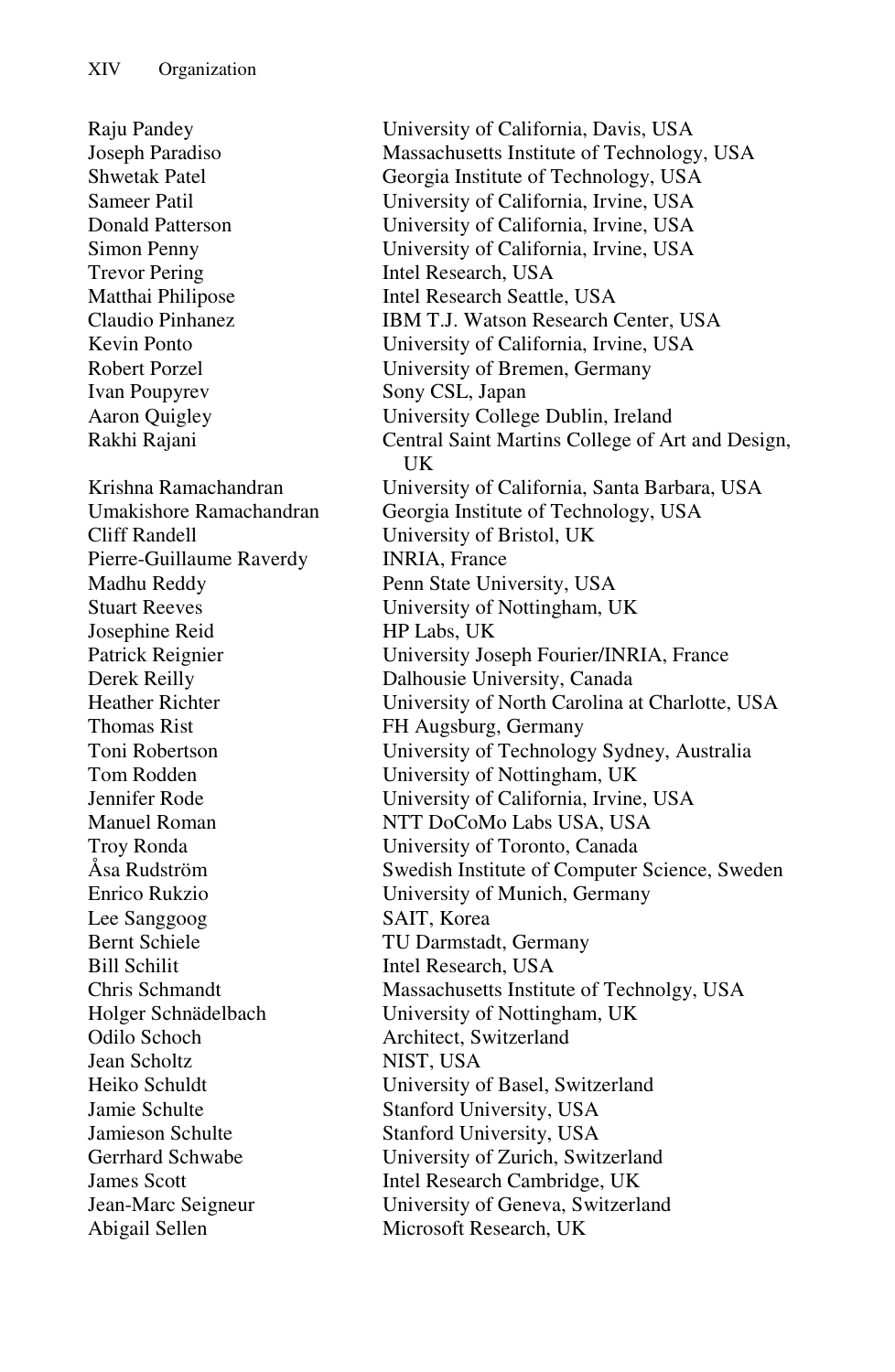Trevor Pering Intel Research, USA Ivan Poupyrev Sony CSL, Japan Cliff Randell University of Bristol, UK Pierre-Guillaume Raverdy INRIA, France Josephine Reid HP Labs, UK Thomas Rist FH Augsburg, Germany Lee Sanggoog SAIT, Korea Bernt Schiele TU Darmstadt, Germany Bill Schilit Intel Research, USA Odilo Schoch Architect, Switzerland Jean Scholtz NIST, USA Jamieson Schulte Stanford University, USA<br>Gerrhard Schwabe University of Zurich Swit

Raju Pandey University of California, Davis, USA Joseph Paradiso Massachusetts Institute of Technology, USA Shwetak Patel Georgia Institute of Technology, USA Sameer Patil University of California, Irvine, USA Donald Patterson University of California, Irvine, USA Simon Penny University of California, Irvine, USA Matthai Philipose Intel Research Seattle, USA Claudio Pinhanez IBM T.J. Watson Research Center, USA Kevin Ponto University of California, Irvine, USA Robert Porzel University of Bremen, Germany Aaron Quigley University College Dublin, Ireland Rakhi Rajani Central Saint Martins College of Art and Design, UK Krishna Ramachandran University of California, Santa Barbara, USA Umakishore Ramachandran Georgia Institute of Technology, USA Madhu Reddy Penn State University, USA Stuart Reeves University of Nottingham, UK Patrick Reignier University Joseph Fourier/INRIA, France Derek Reilly Dalhousie University, Canada Heather Richter University of North Carolina at Charlotte, USA Toni Robertson University of Technology Sydney, Australia Tom Rodden University of Nottingham, UK Jennifer Rode University of California, Irvine, USA Manuel Roman NTT DoCoMo Labs USA, USA Troy Ronda University of Toronto, Canada Åsa Rudström Swedish Institute of Computer Science, Sweden Enrico Rukzio University of Munich, Germany Chris Schmandt Massachusetts Institute of Technolgy, USA Holger Schnädelbach University of Nottingham, UK Heiko Schuldt University of Basel, Switzerland Jamie Schulte Stanford University, USA University of Zurich, Switzerland James Scott Intel Research Cambridge, UK Jean-Marc Seigneur University of Geneva, Switzerland Abigail Sellen Microsoft Research, UK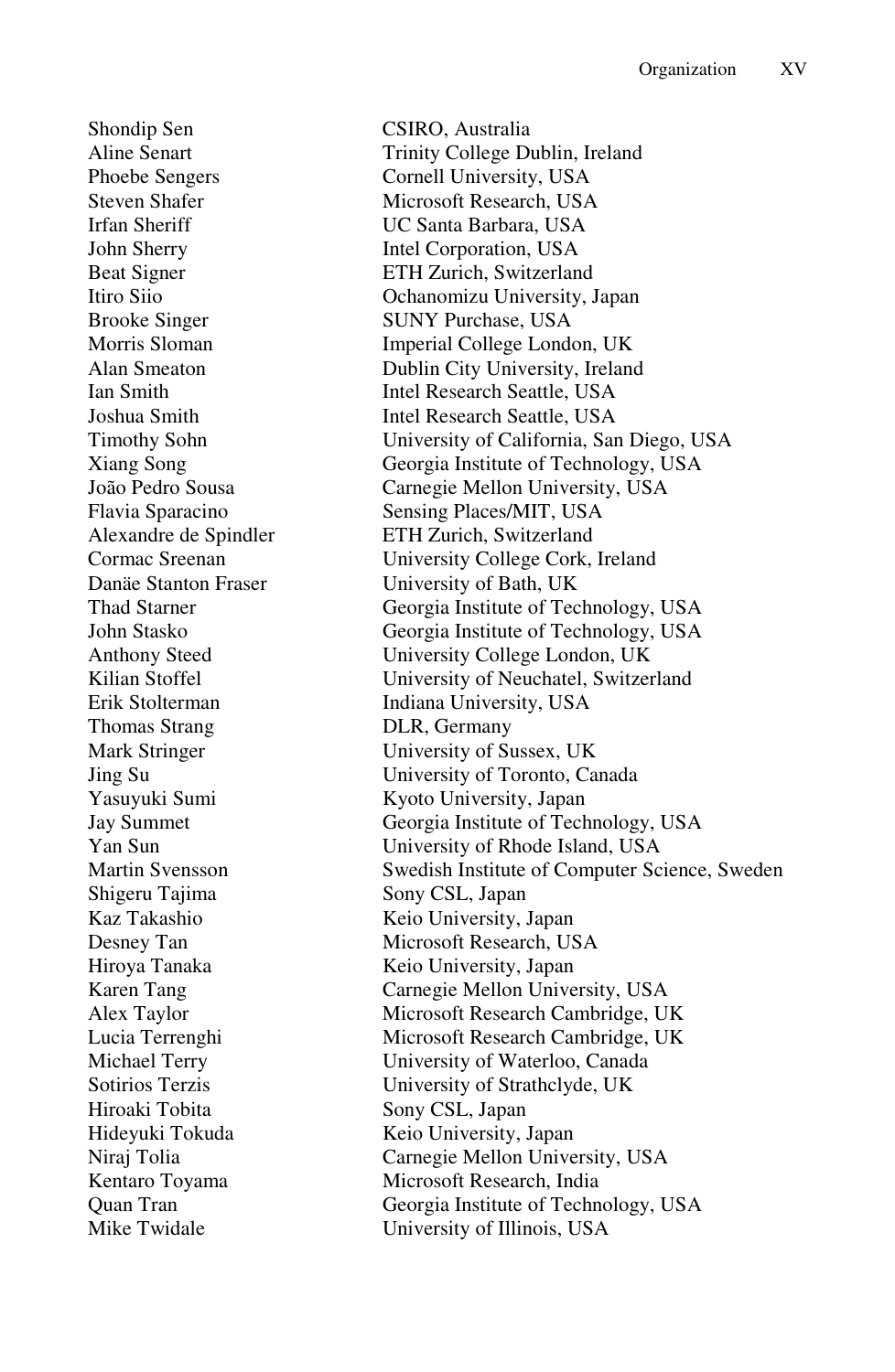Shondip Sen CSIRO, Australia Thomas Strang DLR, Germany Shigeru Tajima Sony CSL, Japan Hiroaki Tobita Sony CSL, Japan

Aline Senart Trinity College Dublin, Ireland Phoebe Sengers Cornell University, USA Steven Shafer Microsoft Research, USA Irfan Sheriff UC Santa Barbara, USA John Sherry Intel Corporation, USA Beat Signer ETH Zurich, Switzerland Itiro Siio Ochanomizu University, Japan Brooke Singer SUNY Purchase, USA Morris Sloman Imperial College London, UK Alan Smeaton Dublin City University, Ireland Ian Smith Intel Research Seattle, USA Joshua Smith Intel Research Seattle, USA Timothy Sohn University of California, San Diego, USA Xiang Song Georgia Institute of Technology, USA João Pedro Sousa Carnegie Mellon University, USA Flavia Sparacino Sensing Places/MIT, USA Alexandre de Spindler ETH Zurich, Switzerland Cormac Sreenan University College Cork, Ireland Danäe Stanton Fraser University of Bath, UK Thad Starner Georgia Institute of Technology, USA John Stasko Georgia Institute of Technology, USA Anthony Steed University College London, UK Kilian Stoffel University of Neuchatel, Switzerland Erik Stolterman Indiana University, USA Mark Stringer University of Sussex, UK Jing Su University of Toronto, Canada Yasuyuki Sumi Kyoto University, Japan Jay Summet Georgia Institute of Technology, USA Yan Sun University of Rhode Island, USA Martin Svensson Swedish Institute of Computer Science, Sweden Kaz Takashio Keio University, Japan Desney Tan Microsoft Research, USA Hiroya Tanaka Keio University, Japan Karen Tang Carnegie Mellon University, USA Alex Taylor Microsoft Research Cambridge, UK Lucia Terrenghi Microsoft Research Cambridge, UK Michael Terry University of Waterloo, Canada Sotirios Terzis University of Strathclyde, UK Hideyuki Tokuda Keio University, Japan Niraj Tolia Carnegie Mellon University, USA Kentaro Toyama Microsoft Research, India Quan Tran Georgia Institute of Technology, USA Mike Twidale **University of Illinois**, USA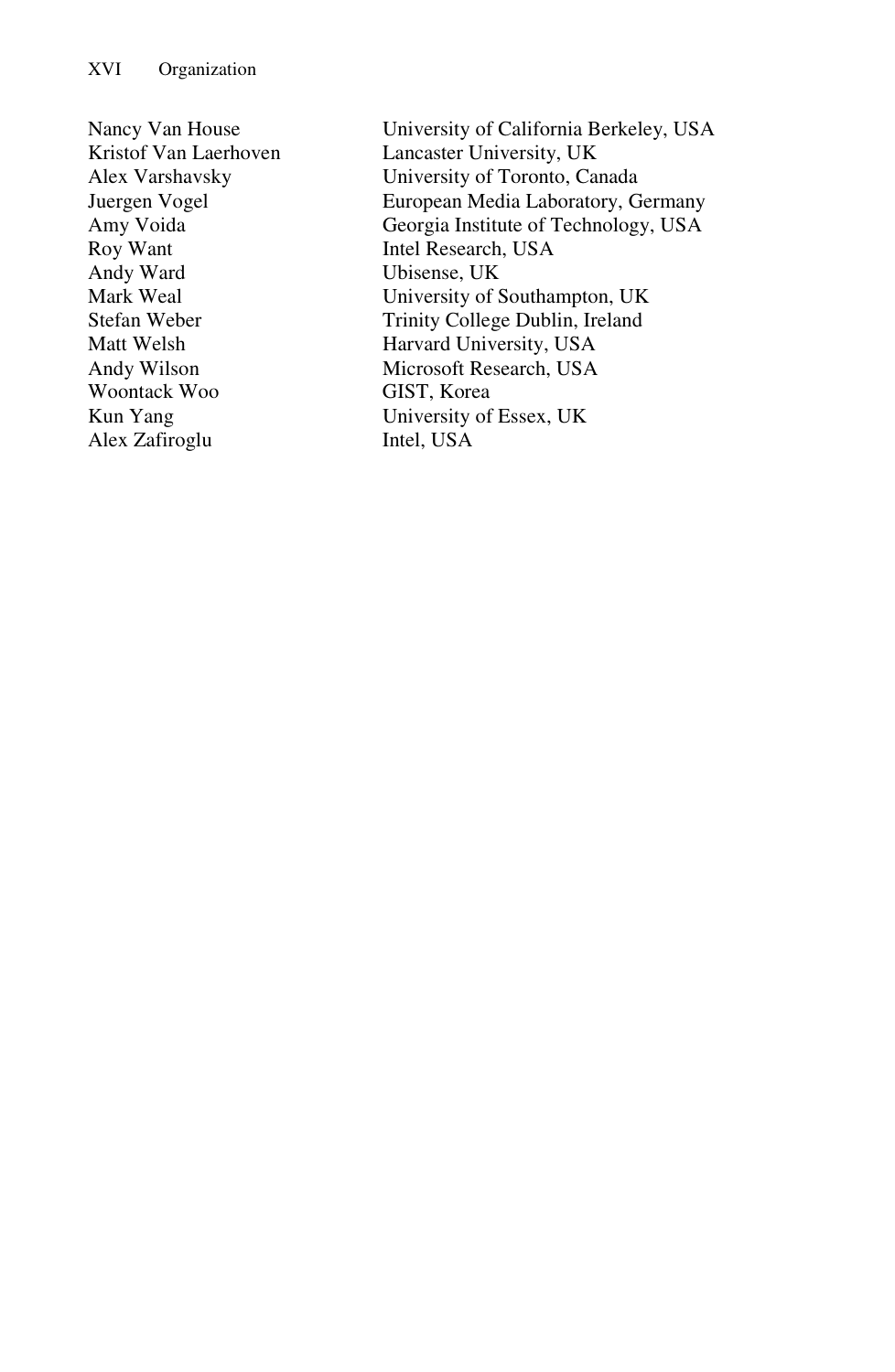Roy Want Intel Research, USA Andy Ward Ubisense, UK Woontack Woo GIST, Korea Alex Zafiroglu Intel, USA

Nancy Van House University of California Berkeley, USA<br>Kristof Van Laerhoven Lancaster University. UK Lancaster University, UK Alex Varshavsky University of Toronto, Canada Juergen Vogel European Media Laboratory, Germany Amy Voida Georgia Institute of Technology, USA Mark Weal University of Southampton, UK Stefan Weber Trinity College Dublin, Ireland Matt Welsh Harvard University, USA Andy Wilson Microsoft Research, USA Kun Yang University of Essex, UK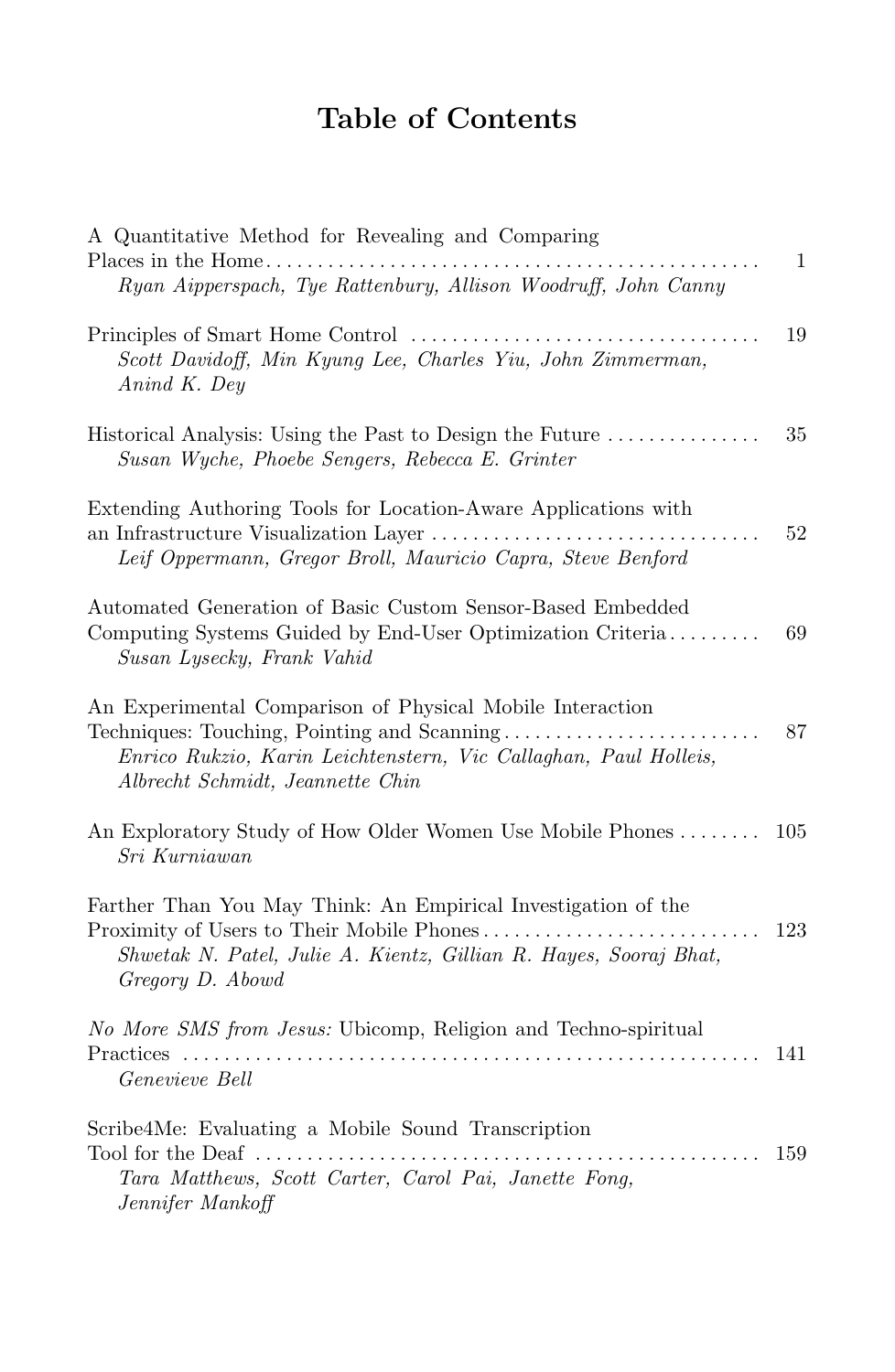## **Table of Contents**

| A Quantitative Method for Revealing and Comparing                                                                                                                 | $\mathbf{1}$ |
|-------------------------------------------------------------------------------------------------------------------------------------------------------------------|--------------|
| Ryan Aipperspach, Tye Rattenbury, Allison Woodruff, John Canny                                                                                                    |              |
| Scott Davidoff, Min Kyung Lee, Charles Yiu, John Zimmerman,<br>Anind K. Dey                                                                                       | 19           |
| Historical Analysis: Using the Past to Design the Future<br>Susan Wyche, Phoebe Sengers, Rebecca E. Grinter                                                       | 35           |
| Extending Authoring Tools for Location-Aware Applications with<br>Leif Oppermann, Gregor Broll, Mauricio Capra, Steve Benford                                     | 52           |
| Automated Generation of Basic Custom Sensor-Based Embedded<br>Computing Systems Guided by End-User Optimization Criteria<br>Susan Lysecky, Frank Vahid            | 69           |
| An Experimental Comparison of Physical Mobile Interaction<br>Enrico Rukzio, Karin Leichtenstern, Vic Callaghan, Paul Holleis,<br>Albrecht Schmidt, Jeannette Chin | 87           |
| An Exploratory Study of How Older Women Use Mobile Phones<br>Sri Kurniawan                                                                                        | 105          |
| Farther Than You May Think: An Empirical Investigation of the<br>Shwetak N. Patel, Julie A. Kientz, Gillian R. Hayes, Sooraj Bhat,<br>Gregory D. Abowd            | 123          |
| No More SMS from Jesus: Ubicomp, Religion and Techno-spiritual<br>Genevieve Bell                                                                                  | 141          |
| Scribe4Me: Evaluating a Mobile Sound Transcription<br>Tara Matthews, Scott Carter, Carol Pai, Janette Fong,<br>Jennifer Mankoff                                   | 159          |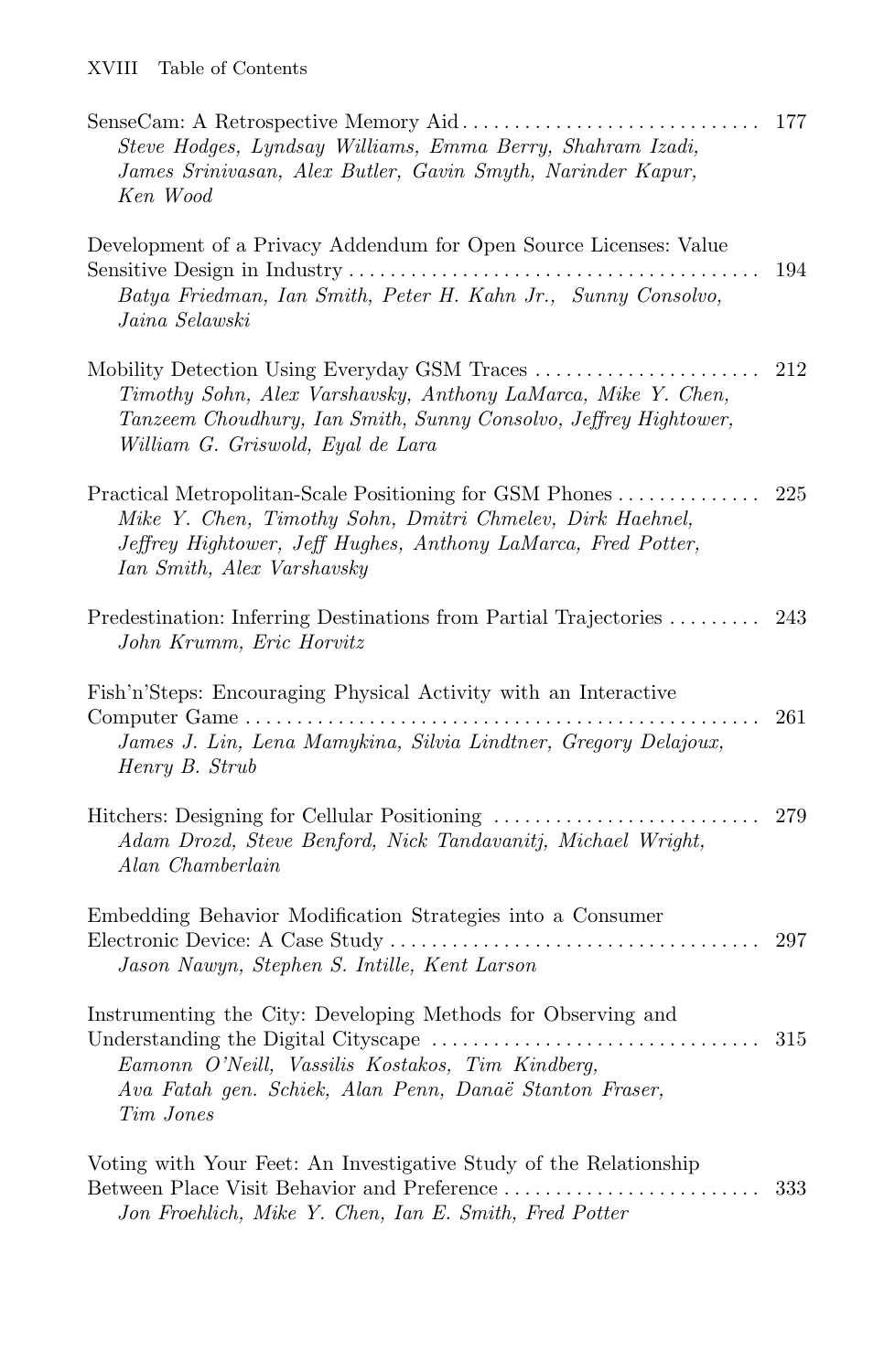| Steve Hodges, Lyndsay Williams, Emma Berry, Shahram Izadi,<br>James Srinivasan, Alex Butler, Gavin Smyth, Narinder Kapur,<br>Ken Wood                                                                                  | 177 |
|------------------------------------------------------------------------------------------------------------------------------------------------------------------------------------------------------------------------|-----|
| Development of a Privacy Addendum for Open Source Licenses: Value<br>Sensitive Design in Industry<br>Batya Friedman, Ian Smith, Peter H. Kahn Jr., Sunny Consolvo,<br>Jaina Selawski                                   | 194 |
| Mobility Detection Using Everyday GSM Traces<br>Timothy Sohn, Alex Varshavsky, Anthony LaMarca, Mike Y. Chen,<br>Tanzeem Choudhury, Ian Smith, Sunny Consolvo, Jeffrey Hightower,<br>William G. Griswold, Eyal de Lara | 212 |
| Practical Metropolitan-Scale Positioning for GSM Phones<br>Mike Y. Chen, Timothy Sohn, Dmitri Chmelev, Dirk Haehnel,<br>Jeffrey Hightower, Jeff Hughes, Anthony LaMarca, Fred Potter,<br>Ian Smith, Alex Varshavsky    | 225 |
| Predestination: Inferring Destinations from Partial Trajectories<br>John Krumm, Eric Horvitz                                                                                                                           | 243 |
| Fish'n'Steps: Encouraging Physical Activity with an Interactive<br>Computer Game<br>James J. Lin, Lena Mamykina, Silvia Lindtner, Gregory Delajoux,<br>Henry B. Strub                                                  | 261 |
| Hitchers: Designing for Cellular Positioning<br>Adam Drozd, Steve Benford, Nick Tandavanitj, Michael Wright,<br>Alan Chamberlain                                                                                       | 279 |
| Embedding Behavior Modification Strategies into a Consumer<br>Electronic Device: A Case Study<br>Jason Nawyn, Stephen S. Intille, Kent Larson                                                                          | 297 |
| Instrumenting the City: Developing Methods for Observing and<br>Eamonn O'Neill, Vassilis Kostakos, Tim Kindberg,<br>Ava Fatah gen. Schiek, Alan Penn, Danaë Stanton Fraser,<br>Tim Jones                               |     |
| Voting with Your Feet: An Investigative Study of the Relationship<br>Jon Froehlich, Mike Y. Chen, Ian E. Smith, Fred Potter                                                                                            | 333 |